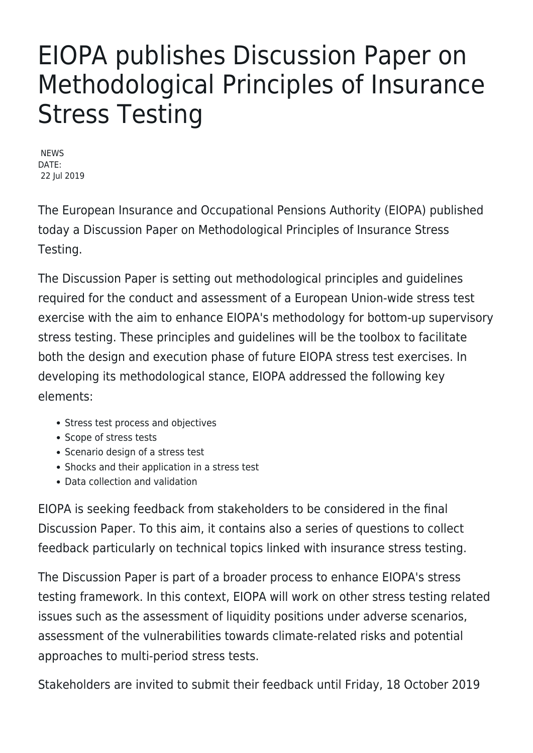## EIOPA publishes Discussion Paper on Methodological Principles of Insurance Stress Testing

**NEWS** DATE: 22 Jul 2019

The European Insurance and Occupational Pensions Authority (EIOPA) published today a Discussion Paper on Methodological Principles of Insurance Stress Testing.

The Discussion Paper is setting out methodological principles and guidelines required for the conduct and assessment of a European Union-wide stress test exercise with the aim to enhance EIOPA's methodology for bottom-up supervisory stress testing. These principles and guidelines will be the toolbox to facilitate both the design and execution phase of future EIOPA stress test exercises. In developing its methodological stance, EIOPA addressed the following key elements:

- Stress test process and objectives
- Scope of stress tests
- Scenario design of a stress test
- Shocks and their application in a stress test
- Data collection and validation

EIOPA is seeking feedback from stakeholders to be considered in the final Discussion Paper. To this aim, it contains also a series of questions to collect feedback particularly on technical topics linked with insurance stress testing.

The Discussion Paper is part of a broader process to enhance EIOPA's stress testing framework. In this context, EIOPA will work on other stress testing related issues such as the assessment of liquidity positions under adverse scenarios, assessment of the vulnerabilities towards climate-related risks and potential approaches to multi-period stress tests.

Stakeholders are invited to submit their feedback until Friday, 18 October 2019